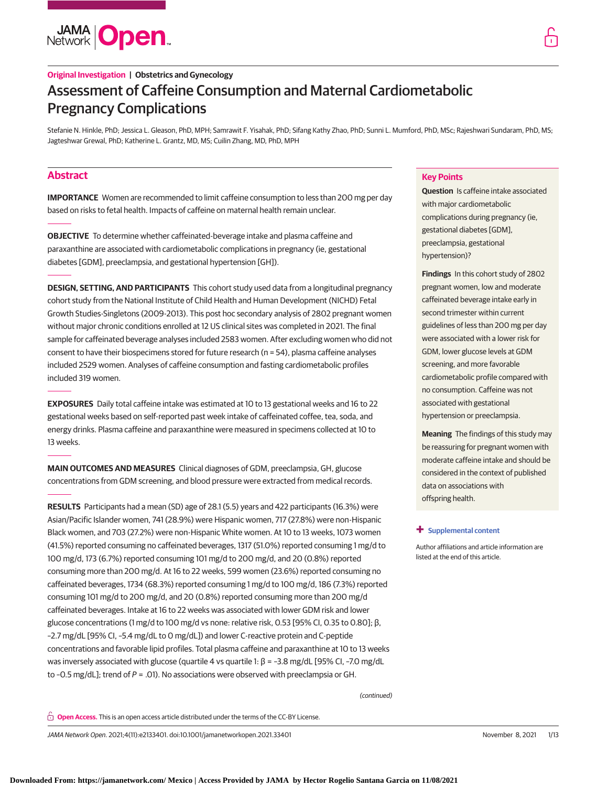

# **Original Investigation | Obstetrics and Gynecology** Assessment of Caffeine Consumption and Maternal Cardiometabolic Pregnancy Complications

Stefanie N. Hinkle, PhD; Jessica L. Gleason, PhD, MPH; Samrawit F. Yisahak, PhD; Sifang Kathy Zhao, PhD; Sunni L. Mumford, PhD, MSc; Rajeshwari Sundaram, PhD, MS; Jagteshwar Grewal, PhD; Katherine L. Grantz, MD, MS; Cuilin Zhang, MD, PhD, MPH

# **Abstract**

**IMPORTANCE** Women are recommended to limit caffeine consumption to less than 200 mg per day based on risks to fetal health. Impacts of caffeine on maternal health remain unclear.

**OBJECTIVE** To determine whether caffeinated-beverage intake and plasma caffeine and paraxanthine are associated with cardiometabolic complications in pregnancy (ie, gestational diabetes [GDM], preeclampsia, and gestational hypertension [GH]).

**DESIGN, SETTING, AND PARTICIPANTS** This cohort study used data from a longitudinal pregnancy cohort study from the National Institute of Child Health and Human Development (NICHD) Fetal Growth Studies-Singletons (2009-2013). This post hoc secondary analysis of 2802 pregnant women without major chronic conditions enrolled at 12 US clinical sites was completed in 2021. The final sample for caffeinated beverage analyses included 2583 women. After excluding women who did not consent to have their biospecimens stored for future research (n = 54), plasma caffeine analyses included 2529 women. Analyses of caffeine consumption and fasting cardiometabolic profiles included 319 women.

**EXPOSURES** Daily total caffeine intake was estimated at 10 to 13 gestational weeks and 16 to 22 gestational weeks based on self-reported past week intake of caffeinated coffee, tea, soda, and energy drinks. Plasma caffeine and paraxanthine were measured in specimens collected at 10 to 13 weeks.

**MAIN OUTCOMES AND MEASURES** Clinical diagnoses of GDM, preeclampsia, GH, glucose concentrations from GDM screening, and blood pressure were extracted from medical records.

**RESULTS** Participants had a mean (SD) age of 28.1 (5.5) years and 422 participants (16.3%) were Asian/Pacific Islander women, 741 (28.9%) were Hispanic women, 717 (27.8%) were non-Hispanic Black women, and 703 (27.2%) were non-Hispanic White women. At 10 to 13 weeks, 1073 women (41.5%) reported consuming no caffeinated beverages, 1317 (51.0%) reported consuming 1 mg/d to 100 mg/d, 173 (6.7%) reported consuming 101 mg/d to 200 mg/d, and 20 (0.8%) reported consuming more than 200 mg/d. At 16 to 22 weeks, 599 women (23.6%) reported consuming no caffeinated beverages, 1734 (68.3%) reported consuming 1 mg/d to 100 mg/d, 186 (7.3%) reported consuming 101 mg/d to 200 mg/d, and 20 (0.8%) reported consuming more than 200 mg/d caffeinated beverages. Intake at 16 to 22 weeks was associated with lower GDM risk and lower glucose concentrations (1 mg/d to 100 mg/d vs none: relative risk, 0.53 [95% CI, 0.35 to 0.80]; β, –2.7 mg/dL [95% CI, –5.4 mg/dL to 0 mg/dL]) and lower C-reactive protein and C-peptide concentrations and favorable lipid profiles. Total plasma caffeine and paraxanthine at 10 to 13 weeks was inversely associated with glucose (quartile 4 vs quartile 1: β = –3.8 mg/dL [95% CI, –7.0 mg/dL to -0.5 mg/dL]; trend of  $P = .01$ ). No associations were observed with preeclampsia or GH.

# **Key Points**

**Question** Is caffeine intake associated with major cardiometabolic complications during pregnancy (ie, gestational diabetes [GDM], preeclampsia, gestational hypertension)?

**Findings** In this cohort study of 2802 pregnant women, low and moderate caffeinated beverage intake early in second trimester within current guidelines of less than 200 mg per day were associated with a lower risk for GDM, lower glucose levels at GDM screening, and more favorable cardiometabolic profile compared with no consumption. Caffeine was not associated with gestational hypertension or preeclampsia.

**Meaning** The findings of this study may be reassuring for pregnant women with moderate caffeine intake and should be considered in the context of published data on associations with offspring health.

### **+ [Supplemental content](https://jama.jamanetwork.com/article.aspx?doi=10.1001/jamanetworkopen.2021.33401&utm_campaign=articlePDF%26utm_medium=articlePDFlink%26utm_source=articlePDF%26utm_content=jamanetworkopen.2021.33401)**

Author affiliations and article information are listed at the end of this article.

(continued)

**Open Access.** This is an open access article distributed under the terms of the CC-BY License.

JAMA Network Open. 2021;4(11):e2133401. doi:10.1001/jamanetworkopen.2021.33401 (Reprinted) November 8, 2021 1/13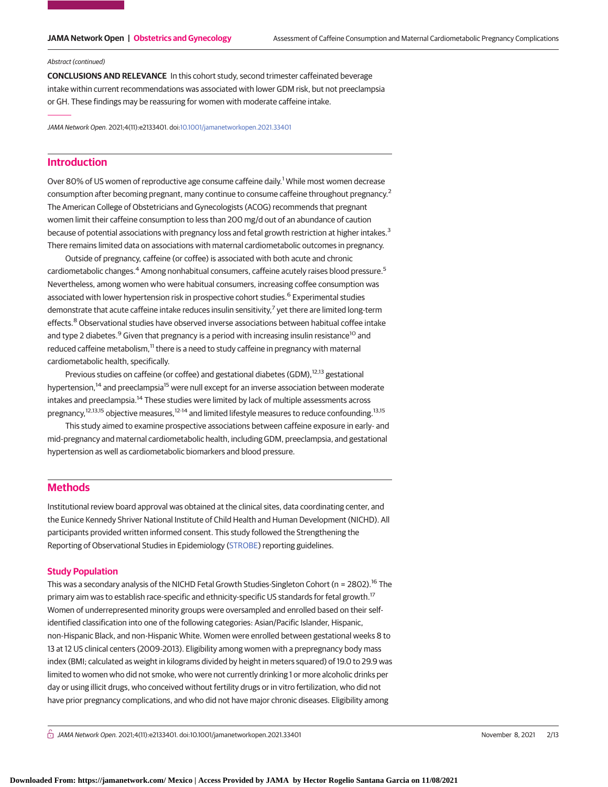### Abstract (continued)

**CONCLUSIONS AND RELEVANCE** In this cohort study, second trimester caffeinated beverage intake within current recommendations was associated with lower GDM risk, but not preeclampsia or GH. These findings may be reassuring for women with moderate caffeine intake.

JAMA Network Open. 2021;4(11):e2133401. doi[:10.1001/jamanetworkopen.2021.33401](https://jama.jamanetwork.com/article.aspx?doi=10.1001/jamanetworkopen.2021.33401&utm_campaign=articlePDF%26utm_medium=articlePDFlink%26utm_source=articlePDF%26utm_content=jamanetworkopen.2021.33401)

# **Introduction**

Over 80% of US women of reproductive age consume caffeine daily.<sup>1</sup> While most women decrease consumption after becoming pregnant, many continue to consume caffeine throughout pregnancy.<sup>2</sup> The American College of Obstetricians and Gynecologists (ACOG) recommends that pregnant women limit their caffeine consumption to less than 200 mg/d out of an abundance of caution because of potential associations with pregnancy loss and fetal growth restriction at higher intakes.<sup>3</sup> There remains limited data on associations with maternal cardiometabolic outcomes in pregnancy.

Outside of pregnancy, caffeine (or coffee) is associated with both acute and chronic cardiometabolic changes.<sup>4</sup> Among nonhabitual consumers, caffeine acutely raises blood pressure.<sup>5</sup> Nevertheless, among women who were habitual consumers, increasing coffee consumption was associated with lower hypertension risk in prospective cohort studies.<sup>6</sup> Experimental studies demonstrate that acute caffeine intake reduces insulin sensitivity,<sup>7</sup> yet there are limited long-term effects.<sup>8</sup> Observational studies have observed inverse associations between habitual coffee intake and type 2 diabetes.<sup>9</sup> Given that pregnancy is a period with increasing insulin resistance<sup>10</sup> and reduced caffeine metabolism,<sup>11</sup> there is a need to study caffeine in pregnancy with maternal cardiometabolic health, specifically.

Previous studies on caffeine (or coffee) and gestational diabetes (GDM),<sup>12,13</sup> gestational hypertension,<sup>14</sup> and preeclampsia<sup>15</sup> were null except for an inverse association between moderate intakes and preeclampsia.<sup>14</sup> These studies were limited by lack of multiple assessments across pregnancy,12,13,15 objective measures,12-14 and limited lifestyle measures to reduce confounding.13,15

This study aimed to examine prospective associations between caffeine exposure in early- and mid-pregnancy and maternal cardiometabolic health, including GDM, preeclampsia, and gestational hypertension as well as cardiometabolic biomarkers and blood pressure.

# **Methods**

Institutional review board approval was obtained at the clinical sites, data coordinating center, and the Eunice Kennedy Shriver National Institute of Child Health and Human Development (NICHD). All participants provided written informed consent. This study followed the Strengthening the Reporting of Observational Studies in Epidemiology [\(STROBE\)](http://www.equator-network.org/reporting-guidelines/strobe/) reporting guidelines.

# **Study Population**

This was a secondary analysis of the NICHD Fetal Growth Studies-Singleton Cohort (n = 2802).<sup>16</sup> The primary aim was to establish race-specific and ethnicity-specific US standards for fetal growth.<sup>17</sup> Women of underrepresented minority groups were oversampled and enrolled based on their selfidentified classification into one of the following categories: Asian/Pacific Islander, Hispanic, non-Hispanic Black, and non-Hispanic White. Women were enrolled between gestational weeks 8 to 13 at 12 US clinical centers (2009-2013). Eligibility among women with a prepregnancy body mass index (BMI; calculated as weight in kilograms divided by height in meters squared) of 19.0 to 29.9 was limited to women who did not smoke, who were not currently drinking 1 or more alcoholic drinks per day or using illicit drugs, who conceived without fertility drugs or in vitro fertilization, who did not have prior pregnancy complications, and who did not have major chronic diseases. Eligibility among

 $\bigcap$  JAMA Network Open. 2021;4(11):e2133401. doi:10.1001/jamanetworkopen.2021.33401 (Reprinted) November 8, 2021 2/13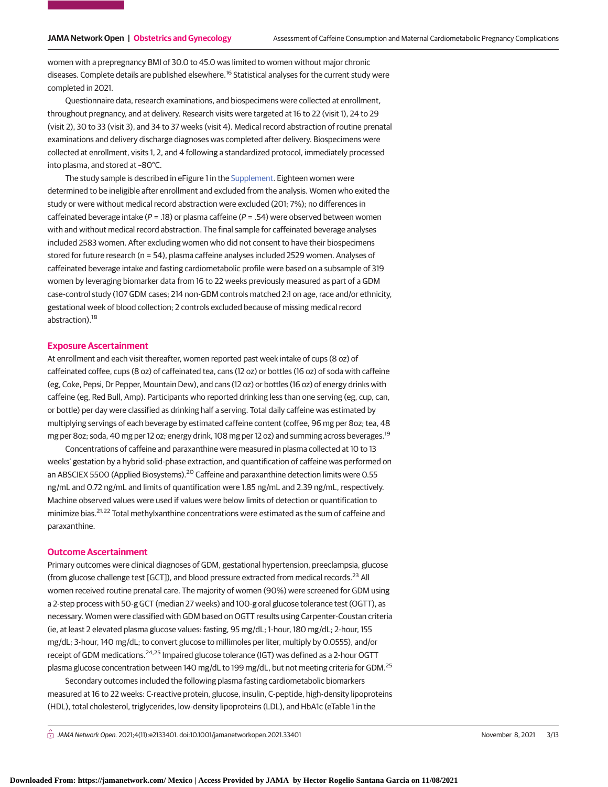women with a prepregnancy BMI of 30.0 to 45.0 was limited to women without major chronic diseases. Complete details are published elsewhere.<sup>16</sup> Statistical analyses for the current study were completed in 2021.

Questionnaire data, research examinations, and biospecimens were collected at enrollment, throughout pregnancy, and at delivery. Research visits were targeted at 16 to 22 (visit 1), 24 to 29 (visit 2), 30 to 33 (visit 3), and 34 to 37 weeks (visit 4). Medical record abstraction of routine prenatal examinations and delivery discharge diagnoses was completed after delivery. Biospecimens were collected at enrollment, visits 1, 2, and 4 following a standardized protocol, immediately processed into plasma, and stored at –80°C.

The study sample is described in eFigure 1 in the [Supplement.](https://jama.jamanetwork.com/article.aspx?doi=10.1001/jamanetworkopen.2021.33401&utm_campaign=articlePDF%26utm_medium=articlePDFlink%26utm_source=articlePDF%26utm_content=jamanetworkopen.2021.33401) Eighteen women were determined to be ineligible after enrollment and excluded from the analysis. Women who exited the study or were without medical record abstraction were excluded (201; 7%); no differences in caffeinated beverage intake ( $P = .18$ ) or plasma caffeine ( $P = .54$ ) were observed between women with and without medical record abstraction. The final sample for caffeinated beverage analyses included 2583 women. After excluding women who did not consent to have their biospecimens stored for future research (n = 54), plasma caffeine analyses included 2529 women. Analyses of caffeinated beverage intake and fasting cardiometabolic profile were based on a subsample of 319 women by leveraging biomarker data from 16 to 22 weeks previously measured as part of a GDM case-control study (107 GDM cases; 214 non-GDM controls matched 2:1 on age, race and/or ethnicity, gestational week of blood collection; 2 controls excluded because of missing medical record abstraction).<sup>18</sup>

# **Exposure Ascertainment**

At enrollment and each visit thereafter, women reported past week intake of cups (8 oz) of caffeinated coffee, cups (8 oz) of caffeinated tea, cans (12 oz) or bottles (16 oz) of soda with caffeine (eg, Coke, Pepsi, Dr Pepper, Mountain Dew), and cans (12 oz) or bottles (16 oz) of energy drinks with caffeine (eg, Red Bull, Amp). Participants who reported drinking less than one serving (eg, cup, can, or bottle) per day were classified as drinking half a serving. Total daily caffeine was estimated by multiplying servings of each beverage by estimated caffeine content (coffee, 96 mg per 8oz; tea, 48 mg per 8oz; soda, 40 mg per 12 oz; energy drink, 108 mg per 12 oz) and summing across beverages.19

Concentrations of caffeine and paraxanthine were measured in plasma collected at 10 to 13 weeks' gestation by a hybrid solid-phase extraction, and quantification of caffeine was performed on an ABSCIEX 5500 (Applied Biosystems).<sup>20</sup> Caffeine and paraxanthine detection limits were 0.55 ng/mL and 0.72 ng/mL and limits of quantification were 1.85 ng/mL and 2.39 ng/mL, respectively. Machine observed values were used if values were below limits of detection or quantification to minimize bias.<sup>21,22</sup> Total methylxanthine concentrations were estimated as the sum of caffeine and paraxanthine.

## **Outcome Ascertainment**

Primary outcomes were clinical diagnoses of GDM, gestational hypertension, preeclampsia, glucose (from glucose challenge test  $[GCT]$ ), and blood pressure extracted from medical records.<sup>23</sup> All women received routine prenatal care. The majority of women (90%) were screened for GDM using a 2-step process with 50-g GCT (median 27 weeks) and 100-g oral glucose tolerance test (OGTT), as necessary. Women were classified with GDM based on OGTT results using Carpenter-Coustan criteria (ie, at least 2 elevated plasma glucose values: fasting, 95 mg/dL; 1-hour, 180 mg/dL; 2-hour, 155 mg/dL; 3-hour, 140 mg/dL; to convert glucose to millimoles per liter, multiply by 0.0555), and/or receipt of GDM medications.<sup>24,25</sup> Impaired glucose tolerance (IGT) was defined as a 2-hour OGTT plasma glucose concentration between 140 mg/dL to 199 mg/dL, but not meeting criteria for GDM.<sup>25</sup>

Secondary outcomes included the following plasma fasting cardiometabolic biomarkers measured at 16 to 22 weeks: C-reactive protein, glucose, insulin, C-peptide, high-density lipoproteins (HDL), total cholesterol, triglycerides, low-density lipoproteins (LDL), and HbA1c (eTable 1 in the

 $\bigcap$  JAMA Network Open. 2021;4(11):e2133401. doi:10.1001/jamanetworkopen.2021.33401 (Reprinted) November 8, 2021 3/13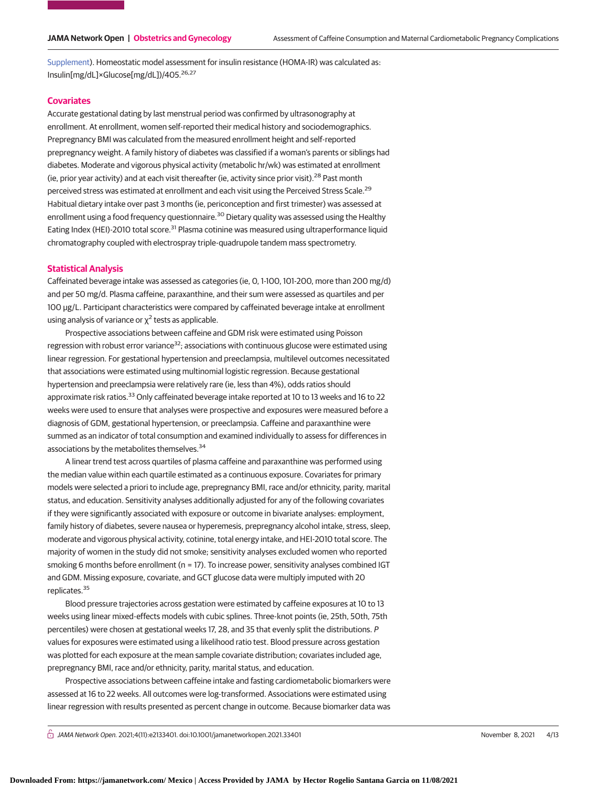[Supplement\)](https://jama.jamanetwork.com/article.aspx?doi=10.1001/jamanetworkopen.2021.33401&utm_campaign=articlePDF%26utm_medium=articlePDFlink%26utm_source=articlePDF%26utm_content=jamanetworkopen.2021.33401). Homeostatic model assessment for insulin resistance (HOMA-IR) was calculated as: Insulin[mg/dL]×Glucose[mg/dL])/405.<sup>26,27</sup>

### **Covariates**

Accurate gestational dating by last menstrual period was confirmed by ultrasonography at enrollment. At enrollment, women self-reported their medical history and sociodemographics. Prepregnancy BMI was calculated from the measured enrollment height and self-reported prepregnancy weight. A family history of diabetes was classified if a woman's parents or siblings had diabetes. Moderate and vigorous physical activity (metabolic hr/wk) was estimated at enrollment (ie, prior year activity) and at each visit thereafter (ie, activity since prior visit).28 Past month perceived stress was estimated at enrollment and each visit using the Perceived Stress Scale.<sup>29</sup> Habitual dietary intake over past 3 months (ie, periconception and first trimester) was assessed at enrollment using a food frequency questionnaire.<sup>30</sup> Dietary quality was assessed using the Healthy Eating Index (HEI)-2010 total score.<sup>31</sup> Plasma cotinine was measured using ultraperformance liquid chromatography coupled with electrospray triple-quadrupole tandem mass spectrometry.

# **Statistical Analysis**

Caffeinated beverage intake was assessed as categories (ie, 0, 1-100, 101-200, more than 200 mg/d) and per 50 mg/d. Plasma caffeine, paraxanthine, and their sum were assessed as quartiles and per 100 μg/L. Participant characteristics were compared by caffeinated beverage intake at enrollment using analysis of variance or  $\chi^2$  tests as applicable.

Prospective associations between caffeine and GDM risk were estimated using Poisson regression with robust error variance<sup>32</sup>; associations with continuous glucose were estimated using linear regression. For gestational hypertension and preeclampsia, multilevel outcomes necessitated that associations were estimated using multinomial logistic regression. Because gestational hypertension and preeclampsia were relatively rare (ie, less than 4%), odds ratios should approximate risk ratios.<sup>33</sup> Only caffeinated beverage intake reported at 10 to 13 weeks and 16 to 22 weeks were used to ensure that analyses were prospective and exposures were measured before a diagnosis of GDM, gestational hypertension, or preeclampsia. Caffeine and paraxanthine were summed as an indicator of total consumption and examined individually to assess for differences in associations by the metabolites themselves.<sup>34</sup>

A linear trend test across quartiles of plasma caffeine and paraxanthine was performed using the median value within each quartile estimated as a continuous exposure. Covariates for primary models were selected a priori to include age, prepregnancy BMI, race and/or ethnicity, parity, marital status, and education. Sensitivity analyses additionally adjusted for any of the following covariates if they were significantly associated with exposure or outcome in bivariate analyses: employment, family history of diabetes, severe nausea or hyperemesis, prepregnancy alcohol intake, stress, sleep, moderate and vigorous physical activity, cotinine, total energy intake, and HEI-2010 total score. The majority of women in the study did not smoke; sensitivity analyses excluded women who reported smoking 6 months before enrollment (n = 17). To increase power, sensitivity analyses combined IGT and GDM. Missing exposure, covariate, and GCT glucose data were multiply imputed with 20 replicates.<sup>35</sup>

Blood pressure trajectories across gestation were estimated by caffeine exposures at 10 to 13 weeks using linear mixed-effects models with cubic splines. Three-knot points (ie, 25th, 50th, 75th percentiles) were chosen at gestational weeks 17, 28, and 35 that evenly split the distributions. P values for exposures were estimated using a likelihood ratio test. Blood pressure across gestation was plotted for each exposure at the mean sample covariate distribution; covariates included age, prepregnancy BMI, race and/or ethnicity, parity, marital status, and education.

Prospective associations between caffeine intake and fasting cardiometabolic biomarkers were assessed at 16 to 22 weeks. All outcomes were log-transformed. Associations were estimated using linear regression with results presented as percent change in outcome. Because biomarker data was

 $\bigcap$  JAMA Network Open. 2021;4(11):e2133401. doi:10.1001/jamanetworkopen.2021.33401 (Reprinted) November 8, 2021 4/13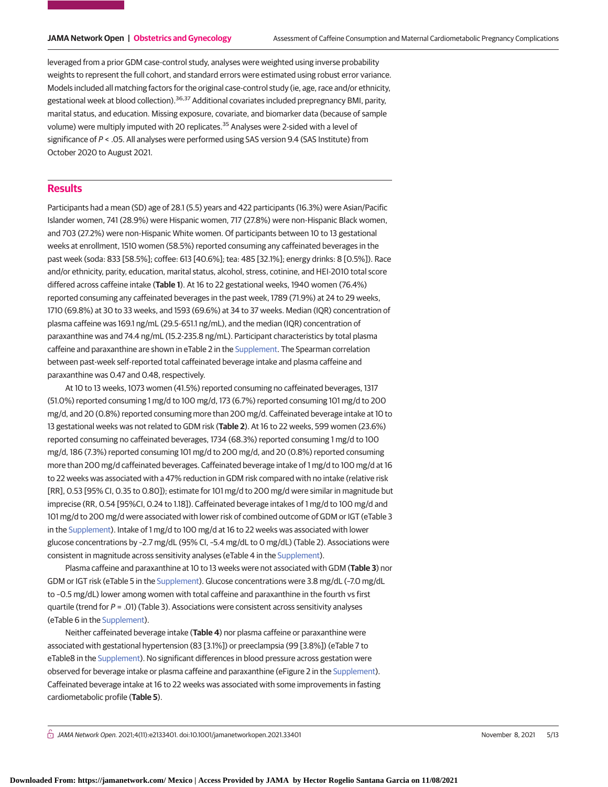leveraged from a prior GDM case-control study, analyses were weighted using inverse probability weights to represent the full cohort, and standard errors were estimated using robust error variance. Models included all matching factors for the original case-control study (ie, age, race and/or ethnicity, gestational week at blood collection).<sup>36,37</sup> Additional covariates included prepregnancy BMI, parity, marital status, and education. Missing exposure, covariate, and biomarker data (because of sample volume) were multiply imputed with 20 replicates.<sup>35</sup> Analyses were 2-sided with a level of significance of  $P <$  .05. All analyses were performed using SAS version 9.4 (SAS Institute) from October 2020 to August 2021.

# **Results**

Participants had a mean (SD) age of 28.1 (5.5) years and 422 participants (16.3%) were Asian/Pacific Islander women, 741 (28.9%) were Hispanic women, 717 (27.8%) were non-Hispanic Black women, and 703 (27.2%) were non-Hispanic White women. Of participants between 10 to 13 gestational weeks at enrollment, 1510 women (58.5%) reported consuming any caffeinated beverages in the past week (soda: 833 [58.5%]; coffee: 613 [40.6%]; tea: 485 [32.1%]; energy drinks: 8 [0.5%]). Race and/or ethnicity, parity, education, marital status, alcohol, stress, cotinine, and HEI-2010 total score differed across caffeine intake (**Table 1**). At 16 to 22 gestational weeks, 1940 women (76.4%) reported consuming any caffeinated beverages in the past week, 1789 (71.9%) at 24 to 29 weeks, 1710 (69.8%) at 30 to 33 weeks, and 1593 (69.6%) at 34 to 37 weeks. Median (IQR) concentration of plasma caffeine was 169.1 ng/mL (29.5-651.1 ng/mL), and the median (IQR) concentration of paraxanthine was and 74.4 ng/mL (15.2-235.8 ng/mL). Participant characteristics by total plasma caffeine and paraxanthine are shown in eTable 2 in the [Supplement.](https://jama.jamanetwork.com/article.aspx?doi=10.1001/jamanetworkopen.2021.33401&utm_campaign=articlePDF%26utm_medium=articlePDFlink%26utm_source=articlePDF%26utm_content=jamanetworkopen.2021.33401) The Spearman correlation between past-week self-reported total caffeinated beverage intake and plasma caffeine and paraxanthine was 0.47 and 0.48, respectively.

At 10 to 13 weeks, 1073 women (41.5%) reported consuming no caffeinated beverages, 1317 (51.0%) reported consuming 1 mg/d to 100 mg/d, 173 (6.7%) reported consuming 101 mg/d to 200 mg/d, and 20 (0.8%) reported consuming more than 200 mg/d. Caffeinated beverage intake at 10 to 13 gestational weeks was not related to GDM risk (**Table 2**). At 16 to 22 weeks, 599 women (23.6%) reported consuming no caffeinated beverages, 1734 (68.3%) reported consuming 1 mg/d to 100 mg/d, 186 (7.3%) reported consuming 101 mg/d to 200 mg/d, and 20 (0.8%) reported consuming more than 200 mg/d caffeinated beverages. Caffeinated beverage intake of 1 mg/d to 100 mg/d at 16 to 22 weeks was associated with a 47% reduction in GDM risk compared with no intake (relative risk [RR], 0.53 [95% CI, 0.35 to 0.80]); estimate for 101 mg/d to 200 mg/d were similar in magnitude but imprecise (RR, 0.54 [95%CI, 0.24 to 1.18]). Caffeinated beverage intakes of 1 mg/d to 100 mg/d and 101 mg/d to 200 mg/d were associated with lower risk of combined outcome of GDM or IGT (eTable 3 in the [Supplement\)](https://jama.jamanetwork.com/article.aspx?doi=10.1001/jamanetworkopen.2021.33401&utm_campaign=articlePDF%26utm_medium=articlePDFlink%26utm_source=articlePDF%26utm_content=jamanetworkopen.2021.33401). Intake of 1 mg/d to 100 mg/d at 16 to 22 weeks was associated with lower glucose concentrations by –2.7 mg/dL (95% CI, –5.4 mg/dL to 0 mg/dL) (Table 2). Associations were consistent in magnitude across sensitivity analyses (eTable 4 in the [Supplement\)](https://jama.jamanetwork.com/article.aspx?doi=10.1001/jamanetworkopen.2021.33401&utm_campaign=articlePDF%26utm_medium=articlePDFlink%26utm_source=articlePDF%26utm_content=jamanetworkopen.2021.33401).

Plasma caffeine and paraxanthine at 10 to 13 weeks were not associated with GDM (**Table 3**) nor GDM or IGT risk (eTable 5 in the [Supplement\)](https://jama.jamanetwork.com/article.aspx?doi=10.1001/jamanetworkopen.2021.33401&utm_campaign=articlePDF%26utm_medium=articlePDFlink%26utm_source=articlePDF%26utm_content=jamanetworkopen.2021.33401). Glucose concentrations were 3.8 mg/dL (–7.0 mg/dL to –0.5 mg/dL) lower among women with total caffeine and paraxanthine in the fourth vs first quartile (trend for  $P = .01$ ) (Table 3). Associations were consistent across sensitivity analyses (eTable 6 in the [Supplement\)](https://jama.jamanetwork.com/article.aspx?doi=10.1001/jamanetworkopen.2021.33401&utm_campaign=articlePDF%26utm_medium=articlePDFlink%26utm_source=articlePDF%26utm_content=jamanetworkopen.2021.33401).

Neither caffeinated beverage intake (**Table 4**) nor plasma caffeine or paraxanthine were associated with gestational hypertension (83 [3.1%]) or preeclampsia (99 [3.8%]) (eTable 7 to eTable8 in the [Supplement\)](https://jama.jamanetwork.com/article.aspx?doi=10.1001/jamanetworkopen.2021.33401&utm_campaign=articlePDF%26utm_medium=articlePDFlink%26utm_source=articlePDF%26utm_content=jamanetworkopen.2021.33401). No significant differences in blood pressure across gestation were observed for beverage intake or plasma caffeine and paraxanthine (eFigure 2 in the [Supplement\)](https://jama.jamanetwork.com/article.aspx?doi=10.1001/jamanetworkopen.2021.33401&utm_campaign=articlePDF%26utm_medium=articlePDFlink%26utm_source=articlePDF%26utm_content=jamanetworkopen.2021.33401). Caffeinated beverage intake at 16 to 22 weeks was associated with some improvements in fasting cardiometabolic profile (**Table 5**).

 $\bigcap$  JAMA Network Open. 2021;4(11):e2133401. doi:10.1001/jamanetworkopen.2021.33401 (Reprinted) November 8, 2021 5/13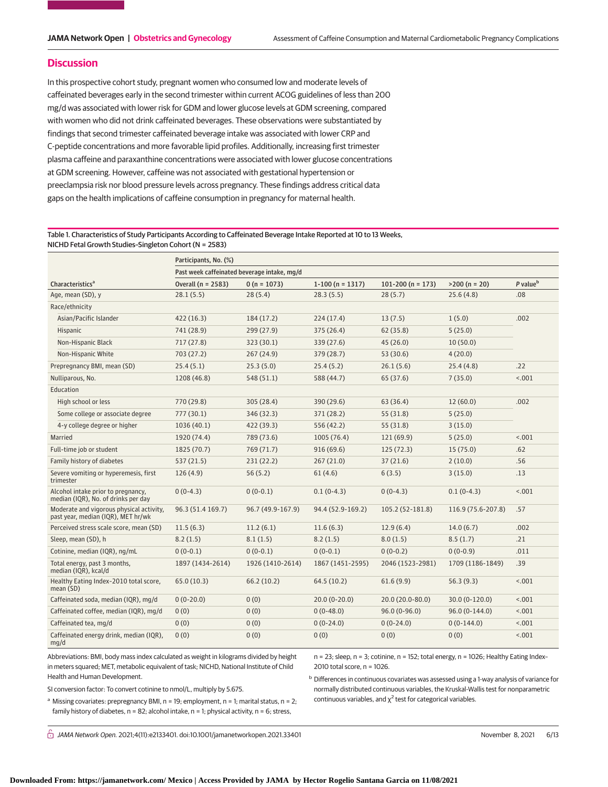# **Discussion**

In this prospective cohort study, pregnant women who consumed low and moderate levels of caffeinated beverages early in the second trimester within current ACOG guidelines of less than 200 mg/d was associated with lower risk for GDM and lower glucose levels at GDM screening, compared with women who did not drink caffeinated beverages. These observations were substantiated by findings that second trimester caffeinated beverage intake was associated with lower CRP and C-peptide concentrations and more favorable lipid profiles. Additionally, increasing first trimester plasma caffeine and paraxanthine concentrations were associated with lower glucose concentrations at GDM screening. However, caffeine was not associated with gestational hypertension or preeclampsia risk nor blood pressure levels across pregnancy. These findings address critical data gaps on the health implications of caffeine consumption in pregnancy for maternal health.

# Table 1. Characteristics of Study Participants According to Caffeinated Beverage Intake Reported at 10 to 13 Weeks, NICHD Fetal Growth Studies–Singleton Cohort (N = 2583)

|                                                                                | Participants, No. (%)                       |                   |                    |                       |                    |                      |  |  |  |
|--------------------------------------------------------------------------------|---------------------------------------------|-------------------|--------------------|-----------------------|--------------------|----------------------|--|--|--|
|                                                                                | Past week caffeinated beverage intake, mg/d |                   |                    |                       |                    |                      |  |  |  |
| Characteristics <sup>a</sup>                                                   | Overall (n = 2583)                          | $0(n = 1073)$     | $1-100$ (n = 1317) | 101-200 ( $n = 173$ ) | $>200 (n = 20)$    | P value <sup>b</sup> |  |  |  |
| Age, mean (SD), y                                                              | 28.1(5.5)                                   | 28(5.4)           | 28.3(5.5)          | 28(5.7)               | 25.6(4.8)          | .08                  |  |  |  |
| Race/ethnicity                                                                 |                                             |                   |                    |                       |                    |                      |  |  |  |
| Asian/Pacific Islander                                                         | 422 (16.3)                                  | 184 (17.2)        | 224(17.4)          | 13(7.5)               | 1(5.0)             | .002                 |  |  |  |
| Hispanic                                                                       | 741 (28.9)                                  | 299 (27.9)        | 375 (26.4)         | 62(35.8)              | 5(25.0)            |                      |  |  |  |
| Non-Hispanic Black                                                             | 717 (27.8)                                  | 323 (30.1)        | 339 (27.6)         | 45 (26.0)             | 10(50.0)           |                      |  |  |  |
| Non-Hispanic White                                                             | 703 (27.2)                                  | 267(24.9)         | 379 (28.7)         | 53 (30.6)             | 4(20.0)            |                      |  |  |  |
| Prepregnancy BMI, mean (SD)                                                    | 25.4(5.1)                                   | 25.3(5.0)         | 25.4(5.2)          | 26.1(5.6)             | 25.4(4.8)          | .22                  |  |  |  |
| Nulliparous, No.                                                               | 1208 (46.8)                                 | 548 (51.1)        | 588 (44.7)         | 65 (37.6)             | 7(35.0)            | < .001               |  |  |  |
| Education                                                                      |                                             |                   |                    |                       |                    |                      |  |  |  |
| High school or less                                                            | 770 (29.8)                                  | 305 (28.4)        | 390 (29.6)         | 63 (36.4)             | 12(60.0)           | .002                 |  |  |  |
| Some college or associate degree                                               | 777(30.1)                                   | 346 (32.3)        | 371 (28.2)         | 55 (31.8)             | 5(25.0)            |                      |  |  |  |
| 4-y college degree or higher                                                   | 1036 (40.1)                                 | 422 (39.3)        | 556 (42.2)         | 55 (31.8)             | 3(15.0)            |                      |  |  |  |
| Married                                                                        | 1920 (74.4)                                 | 789 (73.6)        | 1005 (76.4)        | 121 (69.9)            | 5(25.0)            | < .001               |  |  |  |
| Full-time job or student                                                       | 1825 (70.7)                                 | 769 (71.7)        | 916(69.6)          | 125(72.3)             | 15(75.0)           | .62                  |  |  |  |
| Family history of diabetes                                                     | 537(21.5)                                   | 231 (22.2)        | 267(21.0)          | 37 (21.6)             | 2(10.0)            | .56                  |  |  |  |
| Severe vomiting or hyperemesis, first<br>trimester                             | 126(4.9)                                    | 56 (5.2)          | 61(4.6)            | 6(3.5)                | 3(15.0)            | .13                  |  |  |  |
| Alcohol intake prior to pregnancy,<br>median (IQR), No. of drinks per day      | $0(0-4.3)$                                  | $0(0-0.1)$        | $0.1(0-4.3)$       | $0(0-4.3)$            | $0.1(0-4.3)$       | < .001               |  |  |  |
| Moderate and vigorous physical activity.<br>past year, median (IQR), MET hr/wk | 96.3 (51.4 169.7)                           | 96.7 (49.9-167.9) | 94.4 (52.9-169.2)  | 105.2 (52-181.8)      | 116.9 (75.6-207.8) | .57                  |  |  |  |
| Perceived stress scale score, mean (SD)                                        | 11.5(6.3)                                   | 11.2(6.1)         | 11.6(6.3)          | 12.9(6.4)             | 14.0(6.7)          | .002                 |  |  |  |
| Sleep, mean (SD), h                                                            | 8.2(1.5)                                    | 8.1(1.5)          | 8.2(1.5)           | 8.0(1.5)              | 8.5(1.7)           | .21                  |  |  |  |
| Cotinine, median (IQR), ng/mL                                                  | $0(0-0.1)$                                  | $0(0-0.1)$        | $0(0-0.1)$         | $0(0-0.2)$            | $0(0-0.9)$         | .011                 |  |  |  |
| Total energy, past 3 months,<br>median (IQR), kcal/d                           | 1897 (1434-2614)                            | 1926 (1410-2614)  | 1867 (1451-2595)   | 2046 (1523-2981)      | 1709 (1186-1849)   | .39                  |  |  |  |
| Healthy Eating Index-2010 total score,<br>mean (SD)                            | 65.0(10.3)                                  | 66.2(10.2)        | 64.5(10.2)         | 61.6(9.9)             | 56.3(9.3)          | < .001               |  |  |  |
| Caffeinated soda, median (IQR), mg/d                                           | $0(0-20.0)$                                 | 0(0)              | $20.0(0-20.0)$     | 20.0 (20.0-80.0)      | $30.0(0-120.0)$    | < .001               |  |  |  |
| Caffeinated coffee, median (IQR), mg/d                                         | 0(0)                                        | 0(0)              | $0(0-48.0)$        | $96.0(0-96.0)$        | $96.0(0-144.0)$    | < .001               |  |  |  |
| Caffeinated tea, mg/d                                                          | 0(0)                                        | 0(0)              | $0(0-24.0)$        | $0(0-24.0)$           | $0(0-144.0)$       | < .001               |  |  |  |
| Caffeinated energy drink, median (IQR),<br>mg/d                                | 0(0)                                        | 0(0)              | 0(0)               | 0(0)                  | 0(0)               | < .001               |  |  |  |

Abbreviations: BMI, body mass index calculated as weight in kilograms divided by height in meters squared; MET, metabolic equivalent of task; NICHD, National Institute of Child Health and Human Development.

n = 23; sleep, n = 3; cotinine, n = 152; total energy, n = 1026; Healthy Eating Index– 2010 total score, n = 1026.

<sup>b</sup> Differences in continuous covariates was assessed using a 1-way analysis of variance for normally distributed continuous variables, the Kruskal-Wallis test for nonparametric continuous variables, and  $\chi^2$  test for categorical variables.

SI conversion factor: To convert cotinine to nmol/L, multiply by 5.675.

<sup>a</sup> Missing covariates: prepregnancy BMI,  $n = 19$ ; employment,  $n = 1$ ; marital status,  $n = 2$ ; family history of diabetes,  $n = 82$ ; alcohol intake,  $n = 1$ ; physical activity,  $n = 6$ ; stress,

 $\bigcap$  JAMA Network Open. 2021;4(11):e2133401. doi:10.1001/jamanetworkopen.2021.33401 (Reprinted) November 8, 2021 6/13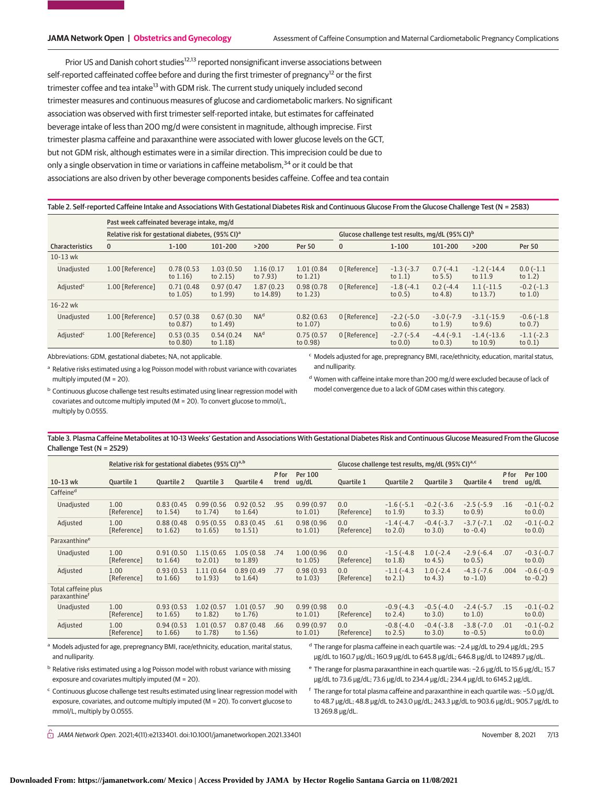Prior US and Danish cohort studies<sup>12,13</sup> reported nonsignificant inverse associations between self-reported caffeinated coffee before and during the first trimester of pregnancy<sup>12</sup> or the first trimester coffee and tea intake<sup>13</sup> with GDM risk. The current study uniquely included second trimester measures and continuous measures of glucose and cardiometabolic markers. No significant association was observed with first trimester self-reported intake, but estimates for caffeinated beverage intake of less than 200 mg/d were consistent in magnitude, although imprecise. First trimester plasma caffeine and paraxanthine were associated with lower glucose levels on the GCT, but not GDM risk, although estimates were in a similar direction. This imprecision could be due to only a single observation in time or variations in caffeine metabolism, $34$  or it could be that associations are also driven by other beverage components besides caffeine. Coffee and tea contain

Table 2. Self-reported Caffeine Intake and Associations With Gestational Diabetes Risk and Continuous Glucose From the Glucose Challenge Test (N = 2583)

| Past week caffeinated beverage intake, mg/d |                                                               |                           |                           |                         |                                                             |               |                            |                            |                             |                            |
|---------------------------------------------|---------------------------------------------------------------|---------------------------|---------------------------|-------------------------|-------------------------------------------------------------|---------------|----------------------------|----------------------------|-----------------------------|----------------------------|
|                                             | Relative risk for gestational diabetes, (95% CI) <sup>a</sup> |                           |                           |                         | Glucose challenge test results, mg/dL (95% CI) <sup>b</sup> |               |                            |                            |                             |                            |
| <b>Characteristics</b>                      | $\bf{0}$                                                      | $1 - 100$                 | 101-200                   | >200                    | <b>Per 50</b>                                               | $\mathbf{0}$  | $1 - 100$                  | 101-200                    | $>200$                      | <b>Per 50</b>              |
| $10-13$ wk                                  |                                                               |                           |                           |                         |                                                             |               |                            |                            |                             |                            |
| Unadjusted                                  | 1.00 [Reference]                                              | 0.78(0.53)<br>to $1.16$ ) | 1.03(0.50)<br>to $2.15$ ) | 1.16(0.17)<br>to 7.93)  | 1.01 (0.84)<br>to $1.21$ )                                  | 0 [Reference] | $-1.3(-3.7)$<br>to $1.1$ ) | $0.7(-4.1)$<br>to $5.5$ )  | $-1.2(-14.4$<br>to 11.9     | $0.0(-1.1)$<br>to $1.2$ )  |
| Adjusted <sup>c</sup>                       | 1.00 [Reference]                                              | 0.71(0.48)<br>to $1.05$ ) | 0.97(0.47)<br>to 1.99)    | 1.87 (0.23<br>to 14.89) | 0.98(0.78)<br>to $1.23$ )                                   | 0 [Reference] | $-1.8(-4.1)$<br>to $0.5$ ) | $0.2(-4.4)$<br>to $4.8$ )  | $1.1(-11.5$<br>to $13.7$ )  | $-0.2(-1.3)$<br>to $1.0$ ) |
| 16-22 wk                                    |                                                               |                           |                           |                         |                                                             |               |                            |                            |                             |                            |
| Unadjusted                                  | 1.00 [Reference]                                              | 0.57(0.38)<br>to 0.87)    | 0.67(0.30)<br>to $1.49$ ) | NA <sup>d</sup>         | 0.82(0.63)<br>to $1.07$ )                                   | 0 [Reference] | $-2.2(-5.0)$<br>to $0.6$ ) | $-3.0(-7.9)$<br>to $1.9$ ) | $-3.1(-15.9)$<br>to $9.6$ ) | $-0.6(-1.8)$<br>to $0.7$ ) |
| Adjusted <sup>c</sup>                       | 1.00 [Reference]                                              | 0.53(0.35)<br>to 0.80)    | 0.54(0.24)<br>to $1.18$ ) | NA <sup>d</sup>         | 0.75(0.57)<br>to 0.98)                                      | 0 [Reference] | $-2.7(-5.4)$<br>to $0.0$ ) | $-4.4(-9.1)$<br>to $0.3$ ) | $-1.4(-13.6)$<br>to 10.9)   | $-1.1(-2.3)$<br>to $0.1$ ) |

Abbreviations: GDM, gestational diabetes; NA, not applicable.

<sup>a</sup> Relative risks estimated using a log Poisson model with robust variance with covariates multiply imputed (M = 20).

<sup>c</sup> Models adjusted for age, prepregnancy BMI, race/ethnicity, education, marital status, and nulliparity.

<sup>d</sup> Women with caffeine intake more than 200 mg/d were excluded because of lack of model convergence due to a lack of GDM cases within this category.

b Continuous glucose challenge test results estimated using linear regression model with covariates and outcome multiply imputed (M = 20). To convert glucose to mmol/L, multiply by 0.0555.

Table 3. Plasma Caffeine Metabolites at 10-13 Weeks' Gestation and Associations With Gestational Diabetes Risk and Continuous Glucose Measured From the Glucose Challenge Test (N = 2529)

|                                                  | Relative risk for gestational diabetes (95% CI) <sup>a,b</sup> |                           |                            |                           |                | Glucose challenge test results, mg/dL (95% CI) <sup>a,c</sup> |                    |                            |                                 |                             |                |                             |
|--------------------------------------------------|----------------------------------------------------------------|---------------------------|----------------------------|---------------------------|----------------|---------------------------------------------------------------|--------------------|----------------------------|---------------------------------|-----------------------------|----------------|-----------------------------|
| $10-13$ wk                                       | Quartile 1                                                     | <b>Ouartile 2</b>         | Ouartile 3                 | <b>Ouartile 4</b>         | P for<br>trend | Per 100<br>uq/dL                                              | Ouartile 1         | Ouartile 2                 | Ouartile 3                      | <b>Ouartile 4</b>           | P for<br>trend | Per 100<br>ug/dL            |
| Caffeine <sup>d</sup>                            |                                                                |                           |                            |                           |                |                                                               |                    |                            |                                 |                             |                |                             |
| Unadjusted                                       | 1.00<br>[Reference]                                            | 0.83(0.45)<br>to $1.54$ ) | 0.99(0.56)<br>to $1.74$ )  | 0.92(0.52)<br>to $1.64$ ) | .95            | 0.99(0.97)<br>to $1.01$ )                                     | 0.0<br>[Reference] | $-1.6(-5.1)$<br>to $1.9$   | $-0.2$ ( $-3.6$ )<br>to $3.3$ ) | $-2.5(-5.9)$<br>to $0.9$ )  | .16            | $-0.1(-0.2)$<br>to $0.0$ )  |
| Adjusted                                         | 1.00<br>[Reference]                                            | 0.88(0.48)<br>to $1.62$ ) | 0.95(0.55)<br>to $1.65$ )  | 0.83(0.45)<br>to $1.51$ ) | .61            | 0.98 (0.96<br>to $1.01$ )                                     | 0.0<br>[Reference] | $-1.4(-4.7)$<br>to $2.0$ ) | $-0.4(-3.7)$<br>to $3.0$        | $-3.7(-7.1)$<br>to $-0.4$ ) | .02            | $-0.1(-0.2)$<br>to $0.0$ )  |
| Paraxanthine <sup>e</sup>                        |                                                                |                           |                            |                           |                |                                                               |                    |                            |                                 |                             |                |                             |
| Unadjusted                                       | 1.00<br>[Reference]                                            | 0.91(0.50)<br>to $1.64$ ) | 1.15 (0.65)<br>to $2.01$ ) | 1.05 (0.58)<br>to 1.89)   | .74            | 1.00 (0.96<br>to $1.05$ )                                     | 0.0<br>[Reference] | $-1.5(-4.8)$<br>to $1.8$ ) | $1.0(-2.4)$<br>to $4.5$ )       | $-2.9(-6.4)$<br>to $0.5$ )  | .07            | $-0.3(-0.7)$<br>to $0.0$ )  |
| Adjusted                                         | 1.00<br>[Reference]                                            | 0.93(0.53)<br>to $1.66$ ) | 1.11 (0.64)<br>to $1.93$   | 0.89(0.49)<br>to $1.64$ ) | .77            | 0.98(0.93)<br>to $1.03$ )                                     | 0.0<br>[Reference] | $-1.1(-4.3)$<br>to $2.1$ ) | $1.0(-2.4)$<br>to $4.3$ )       | $-4.3(-7.6)$<br>to $-1.0$ ) | .004           | $-0.6(-0.9)$<br>to $-0.2$ ) |
| Total caffeine plus<br>paraxanthine <sup>f</sup> |                                                                |                           |                            |                           |                |                                                               |                    |                            |                                 |                             |                |                             |
| Unadjusted                                       | 1.00<br>[Reference]                                            | 0.93(0.53)<br>to $1.65$ ) | 1.02 (0.57<br>to 1.82)     | 1.01(0.57)<br>to $1.76$ ) | .90            | 0.99(0.98)<br>to $1.01$ )                                     | 0.0<br>[Reference] | $-0.9(-4.3)$<br>to $2.4$ ) | $-0.5(-4.0)$<br>to $3.0$ )      | $-2.4(-5.7)$<br>to $1.0$ )  | .15            | $-0.1(-0.2)$<br>to $0.0$ )  |
| Adjusted                                         | 1.00<br>[Reference]                                            | 0.94(0.53)<br>to $1.66$ ) | 1.01 (0.57<br>to 1.78)     | 0.87(0.48)<br>to $1.56$ ) | .66            | 0.99(0.97)<br>to $1.01$ )                                     | 0.0<br>[Reference] | $-0.8(-4.0)$<br>to $2.5$ ) | $-0.4(-3.8)$<br>to $3.0$ )      | $-3.8(-7.0)$<br>to $-0.5$ ) | .01            | $-0.1(-0.2)$<br>to $0.0$ )  |

<sup>a</sup> Models adjusted for age, prepregnancy BMI, race/ethnicity, education, marital status, and nulliparity.

<sup>d</sup> The range for plasma caffeine in each quartile was: −2.4 μg/dL to 29.4 μg/dL; 29.5 μg/dL to 160.7 μg/dL; 160.9 μg/dL to 645.8 μg/dL; 646.8 μg/dL to 12489.7 μg/dL.

<sup>b</sup> Relative risks estimated using a log Poisson model with robust variance with missing exposure and covariates multiply imputed (M = 20).

<sup>e</sup> The range for plasma paraxanthine in each quartile was: −2.6 μg/dL to 15.6 μg/dL; 15.7 μg/dL to 73.6 μg/dL; 73.6 μg/dL to 234.4 μg/dL; 234.4 μg/dL to 6145.2 μg/dL.

<sup>c</sup> Continuous glucose challenge test results estimated using linear regression model with exposure, covariates, and outcome multiply imputed (M = 20). To convert glucose to mmol/L, multiply by 0.0555.

<sup>f</sup> The range for total plasma caffeine and paraxanthine in each quartile was: −5.0 μg/dL to 48.7 μg/dL; 48.8 μg/dL to 243.0 μg/dL; 243.3 μg/dL to 903.6 μg/dL; 905.7 μg/dL to 13 269.8 μg/dL.

 $\stackrel{\frown}{\Pi}$  JAMA Network Open. 2021;4(11):e2133401. doi:10.1001/jamanetworkopen.2021.33401 (Reprinted) November 8, 2021 7/13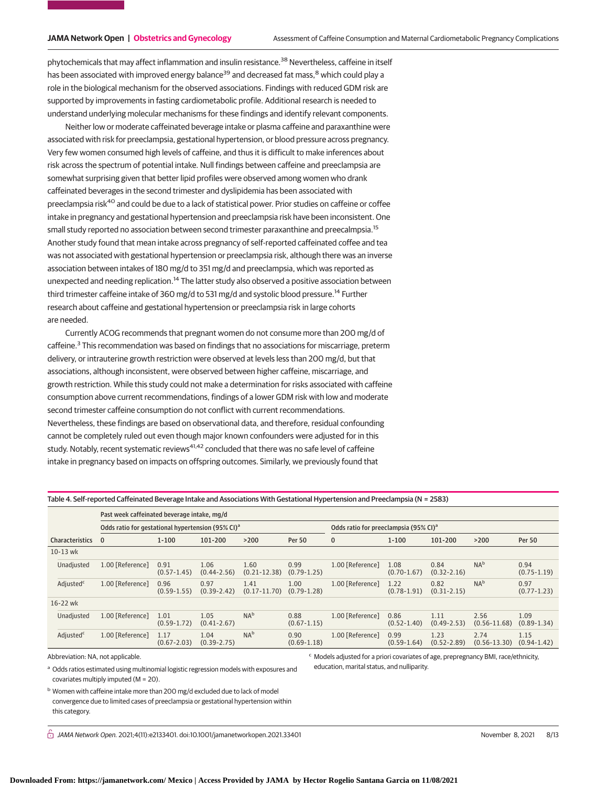phytochemicals that may affect inflammation and insulin resistance.<sup>38</sup> Nevertheless, caffeine in itself has been associated with improved energy balance<sup>39</sup> and decreased fat mass,<sup>8</sup> which could play a role in the biological mechanism for the observed associations. Findings with reduced GDM risk are supported by improvements in fasting cardiometabolic profile. Additional research is needed to understand underlying molecular mechanisms for these findings and identify relevant components.

Neither low or moderate caffeinated beverage intake or plasma caffeine and paraxanthine were associated with risk for preeclampsia, gestational hypertension, or blood pressure across pregnancy. Very few women consumed high levels of caffeine, and thus it is difficult to make inferences about risk across the spectrum of potential intake. Null findings between caffeine and preeclampsia are somewhat surprising given that better lipid profiles were observed among women who drank caffeinated beverages in the second trimester and dyslipidemia has been associated with preeclampsia risk<sup>40</sup> and could be due to a lack of statistical power. Prior studies on caffeine or coffee intake in pregnancy and gestational hypertension and preeclampsia risk have been inconsistent. One small study reported no association between second trimester paraxanthine and preecalmpsia.<sup>15</sup> Another study found that mean intake across pregnancy of self-reported caffeinated coffee and tea was not associated with gestational hypertension or preeclampsia risk, although there was an inverse association between intakes of 180 mg/d to 351 mg/d and preeclampsia, which was reported as unexpected and needing replication.<sup>14</sup> The latter study also observed a positive association between third trimester caffeine intake of 360 mg/d to 531 mg/d and systolic blood pressure.<sup>14</sup> Further research about caffeine and gestational hypertension or preeclampsia risk in large cohorts are needed.

Currently ACOG recommends that pregnant women do not consume more than 200 mg/d of caffeine.<sup>3</sup> This recommendation was based on findings that no associations for miscarriage, preterm delivery, or intrauterine growth restriction were observed at levels less than 200 mg/d, but that associations, although inconsistent, were observed between higher caffeine, miscarriage, and growth restriction. While this study could not make a determination for risks associated with caffeine consumption above current recommendations, findings of a lower GDM risk with low and moderate second trimester caffeine consumption do not conflict with current recommendations. Nevertheless, these findings are based on observational data, and therefore, residual confounding cannot be completely ruled out even though major known confounders were adjusted for in this study. Notably, recent systematic reviews<sup>41,42</sup> concluded that there was no safe level of caffeine intake in pregnancy based on impacts on offspring outcomes. Similarly, we previously found that

| Table 4. Self-reported Caffeinated Beverage Intake and Associations With Gestational Hypertension and Preeclampsia (N = 2583) |  |
|-------------------------------------------------------------------------------------------------------------------------------|--|
|                                                                                                                               |  |

| Past week caffeinated beverage intake, mg/d |                                                               |                         |                         |                          |                                                   |                  |                         |                         |                          |                         |
|---------------------------------------------|---------------------------------------------------------------|-------------------------|-------------------------|--------------------------|---------------------------------------------------|------------------|-------------------------|-------------------------|--------------------------|-------------------------|
|                                             | Odds ratio for gestational hypertension (95% CI) <sup>a</sup> |                         |                         |                          | Odds ratio for preeclampsia (95% CI) <sup>a</sup> |                  |                         |                         |                          |                         |
| <b>Characteristics</b>                      | $\bf{0}$                                                      | $1 - 100$               | 101-200                 | >200                     | <b>Per 50</b>                                     | $\mathbf{0}$     | $1 - 100$               | 101-200                 | >200                     | <b>Per 50</b>           |
| 10-13 wk                                    |                                                               |                         |                         |                          |                                                   |                  |                         |                         |                          |                         |
| Unadjusted                                  | 1.00 [Reference]                                              | 0.91<br>$(0.57 - 1.45)$ | 1.06<br>$(0.44 - 2.56)$ | 1.60<br>$(0.21 - 12.38)$ | 0.99<br>$(0.79 - 1.25)$                           | 1.00 [Reference] | 1.08<br>$(0.70 - 1.67)$ | 0.84<br>$(0.32 - 2.16)$ | NA <sup>b</sup>          | 0.94<br>$(0.75 - 1.19)$ |
| Adjusted <sup>c</sup>                       | 1.00 [Reference]                                              | 0.96<br>$(0.59 - 1.55)$ | 0.97<br>$(0.39 - 2.42)$ | 1.41<br>$(0.17 - 11.70)$ | 1.00<br>$(0.79 - 1.28)$                           | 1.00 [Reference] | 1.22<br>$(0.78 - 1.91)$ | 0.82<br>$(0.31 - 2.15)$ | NA <sup>b</sup>          | 0.97<br>$(0.77 - 1.23)$ |
| $16 - 22$ wk                                |                                                               |                         |                         |                          |                                                   |                  |                         |                         |                          |                         |
| Unadjusted                                  | 1.00 [Reference]                                              | 1.01<br>$(0.59 - 1.72)$ | 1.05<br>$(0.41 - 2.67)$ | NA <sup>b</sup>          | 0.88<br>$(0.67 - 1.15)$                           | 1.00 [Reference] | 0.86<br>$(0.52 - 1.40)$ | 1.11<br>$(0.49 - 2.53)$ | 2.56<br>$(0.56 - 11.68)$ | 1.09<br>$(0.89 - 1.34)$ |
| Adjusted <sup>c</sup>                       | 1.00 [Reference]                                              | 1.17<br>$(0.67 - 2.03)$ | 1.04<br>$(0.39 - 2.75)$ | NA <sup>b</sup>          | 0.90<br>$(0.69 - 1.18)$                           | 1.00 [Reference] | 0.99<br>$(0.59 - 1.64)$ | 1.23<br>$(0.52 - 2.89)$ | 2.74<br>$(0.56 - 13.30)$ | 1.15<br>$(0.94 - 1.42)$ |

Abbreviation: NA, not applicable.

<sup>a</sup> Odds ratios estimated using multinomial logistic regression models with exposures and covariates multiply imputed (M = 20).

b Women with caffeine intake more than 200 mg/d excluded due to lack of model convergence due to limited cases of preeclampsia or gestational hypertension within this category.

 $\stackrel{\frown}{\Pi}$  JAMA Network Open. 2021;4(11):e2133401. doi:10.1001/jamanetworkopen.2021.33401 (Reprinted) November 8, 2021 8/13

<sup>c</sup> Models adjusted for a priori covariates of age, prepregnancy BMI, race/ethnicity,

education, marital status, and nulliparity.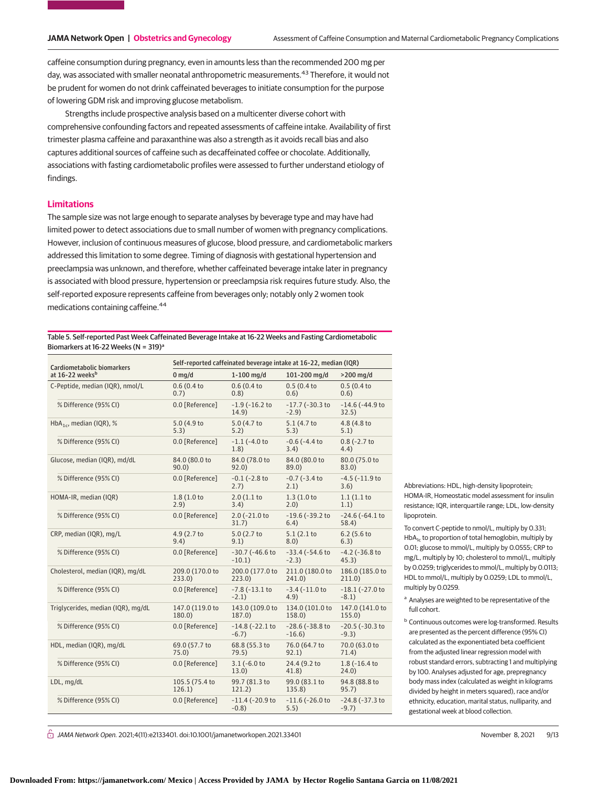caffeine consumption during pregnancy, even in amounts less than the recommended 200 mg per day, was associated with smaller neonatal anthropometric measurements.<sup>43</sup> Therefore, it would not be prudent for women do not drink caffeinated beverages to initiate consumption for the purpose of lowering GDM risk and improving glucose metabolism.

Strengths include prospective analysis based on a multicenter diverse cohort with comprehensive confounding factors and repeated assessments of caffeine intake. Availability of first trimester plasma caffeine and paraxanthine was also a strength as it avoids recall bias and also captures additional sources of caffeine such as decaffeinated coffee or chocolate. Additionally, associations with fasting cardiometabolic profiles were assessed to further understand etiology of findings.

# **Limitations**

The sample size was not large enough to separate analyses by beverage type and may have had limited power to detect associations due to small number of women with pregnancy complications. However, inclusion of continuous measures of glucose, blood pressure, and cardiometabolic markers addressed this limitation to some degree. Timing of diagnosis with gestational hypertension and preeclampsia was unknown, and therefore, whether caffeinated beverage intake later in pregnancy is associated with blood pressure, hypertension or preeclampsia risk requires future study. Also, the self-reported exposure represents caffeine from beverages only; notably only 2 women took medications containing caffeine.<sup>44</sup>

Table 5. Self-reported Past Week Caffeinated Beverage Intake at 16-22 Weeks and Fasting Cardiometabolic Biomarkers at 16-22 Weeks (N =  $319$ )<sup>a</sup>

| Cardiometabolic biomarkers          | Self-reported caffeinated beverage intake at 16-22, median (IQR) |                                  |                                 |                                 |  |  |  |  |  |
|-------------------------------------|------------------------------------------------------------------|----------------------------------|---------------------------------|---------------------------------|--|--|--|--|--|
| at 16-22 weeks <sup>b</sup>         | $0$ mg/d                                                         | $1-100$ mg/d                     | 101-200 mg/d                    | $>200$ mg/d                     |  |  |  |  |  |
| C-Peptide, median (IQR), nmol/L     | 0.6(0.4 to<br>0.7)                                               | 0.6(0.4 to<br>(0.8)              | 0.5(0.4)<br>0.6)                | 0.5(0.4 to<br>0.6)              |  |  |  |  |  |
| % Difference (95% CI)               | 0.0 [Reference]                                                  | $-1.9$ ( $-16.2$ to<br>14.9)     | $-17.7$ ( $-30.3$ to<br>$-2.9$  | $-14.6$ ( $-44.9$ to<br>32.5)   |  |  |  |  |  |
| HbA <sub>1c</sub> , median (IQR), % | 5.0 (4.9 to<br>5.3)                                              | 5.0 (4.7 to<br>5.2)              | 5.1 (4.7 to<br>5.3)             | 4.8 (4.8 to<br>5.1)             |  |  |  |  |  |
| % Difference (95% CI)               | 0.0 [Reference]                                                  | $-1.1$ ( $-4.0$ to<br>1.8)       | $-0.6$ ( $-4.4$ to<br>3.4)      | $0.8$ (-2.7 to<br>4.4)          |  |  |  |  |  |
| Glucose, median (IQR), md/dL        | 84.0 (80.0 to<br>90.0                                            | 84.0 (78.0 to<br>92.0)           | 84.0 (80.0 to<br>89.0)          | 80.0 (75.0 to<br>83.0)          |  |  |  |  |  |
| % Difference (95% CI)               | 0.0 [Reference]                                                  | $-0.1$ ( $-2.8$ to<br>2.7)       | $-0.7$ ( $-3.4$ to<br>2.1)      | $-4.5$ ( $-11.9$ to<br>3.6)     |  |  |  |  |  |
| HOMA-IR, median (IQR)               | 1.8(1.0 to<br>2.9)                                               | 2.0(1.1)<br>3.4)                 | 1.3(1.0 to<br>2.0)              | 1.1(1.1 to<br>1.1)              |  |  |  |  |  |
| % Difference (95% CI)               | 0.0 [Reference]                                                  | 2.0 (-21.0 to<br>31.7)           | $-19.6$ ( $-39.2$ to<br>6.4)    | $-24.6$ ( $-64.1$ to<br>58.4)   |  |  |  |  |  |
| CRP, median (IQR), mg/L             | 4.9 (2.7 to<br>9.4)                                              | 5.0 (2.7 to<br>9.1)              | 5.1(2.1 to<br>8.0)              | $6.2$ (5.6 to<br>6.3)           |  |  |  |  |  |
| % Difference (95% CI)               | 0.0 [Reference]                                                  | $-30.7$ ( $-46.6$ to<br>$-10.1)$ | $-33.4$ ( $-54.6$ to<br>$-2.3)$ | $-4.2$ ( $-36.8$ to<br>45.3)    |  |  |  |  |  |
| Cholesterol, median (IQR), mg/dL    | 209.0 (170.0 to<br>233.0)                                        | 200.0 (177.0 to<br>223.0         | 211.0 (180.0 to<br>241.0)       | 186.0 (185.0 to<br>211.0        |  |  |  |  |  |
| % Difference (95% CI)               | 0.0 [Reference]                                                  | $-7.8$ ( $-13.1$ to<br>$-2.1)$   | $-3.4$ ( $-11.0$ to<br>4.9)     | $-18.1$ ( $-27.0$ to<br>$-8.1)$ |  |  |  |  |  |
| Triglycerides, median (IQR), mg/dL  | 147.0 (119.0 to<br>180.0)                                        | 143.0 (109.0 to<br>187.0)        | 134.0 (101.0 to<br>158.0)       | 147.0 (141.0 to<br>155.0        |  |  |  |  |  |
| % Difference (95% CI)               | 0.0 [Reference]                                                  | $-14.8$ ( $-22.1$ to<br>$-6.7)$  | $-28.6$ ( $-38.8$ to<br>$-16.6$ | $-20.5$ ( $-30.3$ to<br>$-9.3)$ |  |  |  |  |  |
| HDL, median (IQR), mg/dL            | 69.0 (57.7 to<br>75.0)                                           | 68.8 (55.3 to<br>79.5)           | 76.0 (64.7 to<br>92.1)          | 70.0 (63.0 to<br>71.4)          |  |  |  |  |  |
| % Difference (95% CI)               | 0.0 [Reference]                                                  | $3.1$ (-6.0 to<br>13.0)          | 24.4 (9.2 to<br>41.8)           | $1.8$ ( $-16.4$ to<br>24.0)     |  |  |  |  |  |
| LDL, mg/dL                          | 105.5 (75.4 to<br>126.1)                                         | 99.7 (81.3 to<br>121.2)          | 99.0 (83.1 to<br>135.8)         | 94.8 (88.8 to<br>95.7)          |  |  |  |  |  |
| % Difference (95% CI)               | 0.0 [Reference]                                                  | $-11.4$ ( $-20.9$ to<br>$-0.8$ ) | $-11.6$ ( $-26.0$ to<br>5.5)    | $-24.8$ ( $-37.3$ to<br>$-9.7)$ |  |  |  |  |  |

Abbreviations: HDL, high-density lipoprotein; HOMA-IR, Homeostatic model assessment for insulin resistance; IQR, interquartile range; LDL, low-density lipoprotein.

To convert C-peptide to nmol/L, multiply by 0.331;  $HbA<sub>1c</sub>$  to proportion of total hemoglobin, multiply by 0.01; glucose to mmol/L, multiply by 0.0555; CRP to mg/L, multiply by 10; cholesterol to mmol/L, multiply by 0.0259; triglycerides to mmol/L, multiply by 0.0113; HDL to mmol/L, multiply by 0.0259; LDL to mmol/L, multiply by 0.0259.

<sup>a</sup> Analyses are weighted to be representative of the full cohort.

**b** Continuous outcomes were log-transformed. Results are presented as the percent difference (95% CI) calculated as the exponentiated beta coefficient from the adjusted linear regression model with robust standard errors, subtracting 1 and multiplying by 100. Analyses adjusted for age, prepregnancy body mass index (calculated as weight in kilograms divided by height in meters squared), race and/or ethnicity, education, marital status, nulliparity, and gestational week at blood collection.

 $\bigcap$  JAMA Network Open. 2021;4(11):e2133401. doi:10.1001/jamanetworkopen.2021.33401 (Reprinted) November 8, 2021 9/13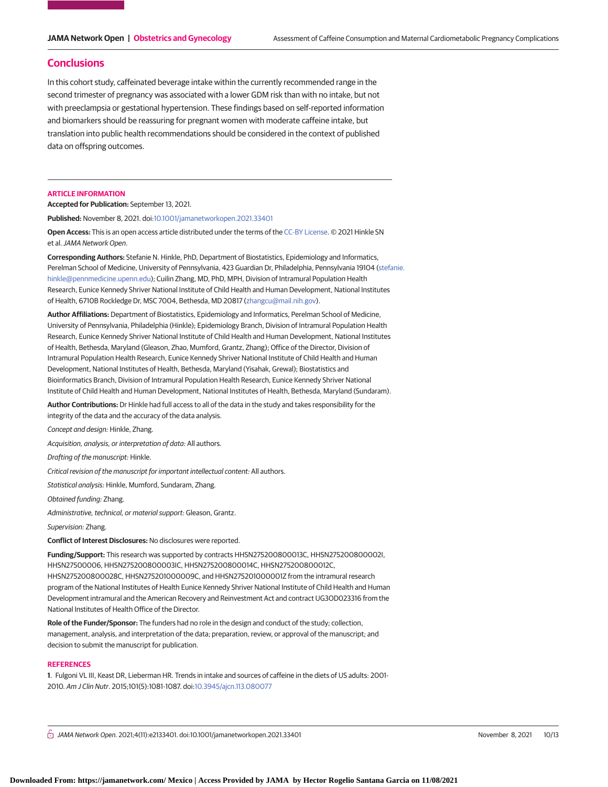# **Conclusions**

In this cohort study, caffeinated beverage intake within the currently recommended range in the second trimester of pregnancy was associated with a lower GDM risk than with no intake, but not with preeclampsia or gestational hypertension. These findings based on self-reported information and biomarkers should be reassuring for pregnant women with moderate caffeine intake, but translation into public health recommendations should be considered in the context of published data on offspring outcomes.

### **ARTICLE INFORMATION**

**Accepted for Publication:** September 13, 2021.

**Published:** November 8, 2021. doi[:10.1001/jamanetworkopen.2021.33401](https://jama.jamanetwork.com/article.aspx?doi=10.1001/jamanetworkopen.2021.33401&utm_campaign=articlePDF%26utm_medium=articlePDFlink%26utm_source=articlePDF%26utm_content=jamanetworkopen.2021.33401)

**Open Access:** This is an open access article distributed under the terms of the [CC-BY License.](https://jamanetwork.com/pages/cc-by-license-permissions/?utm_campaign=articlePDF%26utm_medium=articlePDFlink%26utm_source=articlePDF%26utm_content=jamanetworkopen.2021.33401) © 2021 Hinkle SN et al.JAMA Network Open.

**Corresponding Authors:** Stefanie N. Hinkle, PhD, Department of Biostatistics, Epidemiology and Informatics, Perelman School of Medicine, University of Pennsylvania, 423 Guardian Dr, Philadelphia, Pennsylvania 19104 [\(stefanie.](mailto:stefanie.hinkle@pennmedicine.upenn.edu) [hinkle@pennmedicine.upenn.edu\)](mailto:stefanie.hinkle@pennmedicine.upenn.edu); Cuilin Zhang, MD, PhD, MPH, Division of Intramural Population Health Research, Eunice Kennedy Shriver National Institute of Child Health and Human Development, National Institutes of Health, 6710B Rockledge Dr, MSC 7004, Bethesda, MD 20817 [\(zhangcu@mail.nih.gov\)](mailto:zhangcu@mail.nih.gov).

**Author Affiliations:** Department of Biostatistics, Epidemiology and Informatics, Perelman School of Medicine, University of Pennsylvania, Philadelphia (Hinkle); Epidemiology Branch, Division of Intramural Population Health Research, Eunice Kennedy Shriver National Institute of Child Health and Human Development, National Institutes of Health, Bethesda, Maryland (Gleason, Zhao, Mumford, Grantz, Zhang); Office of the Director, Division of Intramural Population Health Research, Eunice Kennedy Shriver National Institute of Child Health and Human Development, National Institutes of Health, Bethesda, Maryland (Yisahak, Grewal); Biostatistics and Bioinformatics Branch, Division of Intramural Population Health Research, Eunice Kennedy Shriver National Institute of Child Health and Human Development, National Institutes of Health, Bethesda, Maryland (Sundaram).

**Author Contributions:** Dr Hinkle had full access to all of the data in the study and takes responsibility for the integrity of the data and the accuracy of the data analysis.

Concept and design: Hinkle, Zhang.

Acquisition, analysis, or interpretation of data: All authors.

Drafting of the manuscript: Hinkle.

Critical revision of the manuscript for important intellectual content: All authors.

Statistical analysis: Hinkle, Mumford, Sundaram, Zhang.

Obtained funding: Zhang.

Administrative, technical, or material support: Gleason, Grantz.

Supervision: Zhang.

**Conflict of Interest Disclosures:** No disclosures were reported.

**Funding/Support:** This research was supported by contracts HHSN275200800013C, HHSN275200800002I, HHSN27500006, HHSN275200800003IC, HHSN275200800014C, HHSN275200800012C, HHSN275200800028C, HHSN275201000009C, and HHSN275201000001Z from the intramural research program of the National Institutes of Health Eunice Kennedy Shriver National Institute of Child Health and Human Development intramural and the American Recovery and Reinvestment Act and contract UG3OD023316 from the National Institutes of Health Office of the Director.

**Role of the Funder/Sponsor:** The funders had no role in the design and conduct of the study; collection, management, analysis, and interpretation of the data; preparation, review, or approval of the manuscript; and decision to submit the manuscript for publication.

### **REFERENCES**

**1**. Fulgoni VL III, Keast DR, Lieberman HR. Trends in intake and sources of caffeine in the diets of US adults: 2001- 2010. Am J Clin Nutr. 2015;101(5):1081-1087. doi[:10.3945/ajcn.113.080077](https://dx.doi.org/10.3945/ajcn.113.080077)

 $\bigcap$  JAMA Network Open. 2021;4(11):e2133401. doi:10.1001/jamanetworkopen.2021.33401 Movember 8, 2021 10/13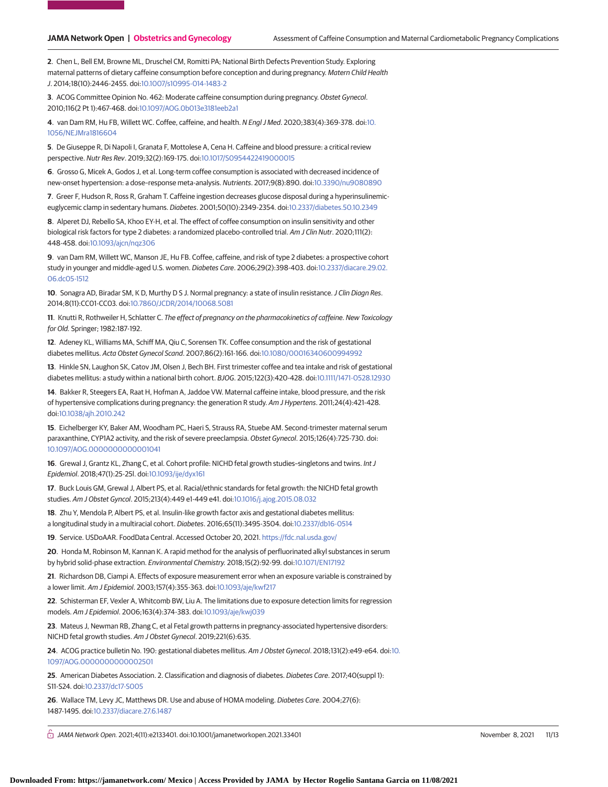**2**. Chen L, Bell EM, Browne ML, Druschel CM, Romitti PA; National Birth Defects Prevention Study. Exploring maternal patterns of dietary caffeine consumption before conception and during pregnancy. Matern Child Health J. 2014;18(10):2446-2455. doi[:10.1007/s10995-014-1483-2](https://dx.doi.org/10.1007/s10995-014-1483-2)

**3**. ACOG Committee Opinion No. 462: Moderate caffeine consumption during pregnancy. Obstet Gynecol. 2010;116(2 Pt 1):467-468. doi[:10.1097/AOG.0b013e3181eeb2a1](https://dx.doi.org/10.1097/AOG.0b013e3181eeb2a1)

**4**. van Dam RM, Hu FB, Willett WC. Coffee, caffeine, and health. N Engl J Med. 2020;383(4):369-378. doi[:10.](https://dx.doi.org/10.1056/NEJMra1816604) [1056/NEJMra1816604](https://dx.doi.org/10.1056/NEJMra1816604)

**5**. De Giuseppe R, Di Napoli I, Granata F, Mottolese A, Cena H. Caffeine and blood pressure: a critical review perspective. Nutr Res Rev. 2019;32(2):169-175. doi[:10.1017/S0954422419000015](https://dx.doi.org/10.1017/S0954422419000015)

**6**. Grosso G, Micek A, Godos J, et al. Long-term coffee consumption is associated with decreased incidence of new-onset hypertension: a dose–response meta-analysis. Nutrients. 2017;9(8):890. doi[:10.3390/nu9080890](https://dx.doi.org/10.3390/nu9080890)

**7**. Greer F, Hudson R, Ross R, Graham T. Caffeine ingestion decreases glucose disposal during a hyperinsulinemiceuglycemic clamp in sedentary humans. Diabetes. 2001;50(10):2349-2354. doi[:10.2337/diabetes.50.10.2349](https://dx.doi.org/10.2337/diabetes.50.10.2349)

**8**. Alperet DJ, Rebello SA, Khoo EY-H, et al. The effect of coffee consumption on insulin sensitivity and other biological risk factors for type 2 diabetes: a randomized placebo-controlled trial. Am J Clin Nutr. 2020;111(2): 448-458. doi[:10.1093/ajcn/nqz306](https://dx.doi.org/10.1093/ajcn/nqz306)

**9**. van Dam RM, Willett WC, Manson JE, Hu FB. Coffee, caffeine, and risk of type 2 diabetes: a prospective cohort study in younger and middle-aged U.S. women. Diabetes Care. 2006;29(2):398-403. doi[:10.2337/diacare.29.02.](https://dx.doi.org/10.2337/diacare.29.02.06.dc05-1512) [06.dc05-1512](https://dx.doi.org/10.2337/diacare.29.02.06.dc05-1512)

**10**. Sonagra AD, Biradar SM, K D, Murthy D S J. Normal pregnancy: a state of insulin resistance.J Clin Diagn Res. 2014;8(11):CC01-CC03. doi[:10.7860/JCDR/2014/10068.5081](https://dx.doi.org/10.7860/JCDR/2014/10068.5081)

**11**. Knutti R, Rothweiler H, Schlatter C. The effect of pregnancy on the pharmacokinetics of caffeine. New Toxicology for Old. Springer; 1982:187-192.

**12**. Adeney KL, Williams MA, Schiff MA, Qiu C, Sorensen TK. Coffee consumption and the risk of gestational diabetes mellitus. Acta Obstet Gynecol Scand. 2007;86(2):161-166. doi[:10.1080/00016340600994992](https://dx.doi.org/10.1080/00016340600994992)

**13**. Hinkle SN, Laughon SK, Catov JM, Olsen J, Bech BH. First trimester coffee and tea intake and risk of gestational diabetes mellitus: a study within a national birth cohort. BJOG. 2015;122(3):420-428. doi[:10.1111/1471-0528.12930](https://dx.doi.org/10.1111/1471-0528.12930)

**14**. Bakker R, Steegers EA, Raat H, Hofman A, Jaddoe VW. Maternal caffeine intake, blood pressure, and the risk of hypertensive complications during pregnancy: the generation R study. Am J Hypertens. 2011;24(4):421-428. doi[:10.1038/ajh.2010.242](https://dx.doi.org/10.1038/ajh.2010.242)

**15**. Eichelberger KY, Baker AM, Woodham PC, Haeri S, Strauss RA, Stuebe AM. Second-trimester maternal serum paraxanthine, CYP1A2 activity, and the risk of severe preeclampsia. Obstet Gynecol. 2015;126(4):725-730. doi: [10.1097/AOG.0000000000001041](https://dx.doi.org/10.1097/AOG.0000000000001041)

**16**. Grewal J, Grantz KL, Zhang C, et al. Cohort profile: NICHD fetal growth studies–singletons and twins. Int J Epidemiol. 2018;47(1):25-25l. doi[:10.1093/ije/dyx161](https://dx.doi.org/10.1093/ije/dyx161)

**17**. Buck Louis GM, Grewal J, Albert PS, et al. Racial/ethnic standards for fetal growth: the NICHD fetal growth studies. Am J Obstet Gyncol. 2015;213(4):449 e1-449 e41. doi[:10.1016/j.ajog.2015.08.032](https://dx.doi.org/10.1016/j.ajog.2015.08.032)

**18**. Zhu Y, Mendola P, Albert PS, et al. Insulin-like growth factor axis and gestational diabetes mellitus: a longitudinal study in a multiracial cohort. Diabetes. 2016;65(11):3495-3504. doi[:10.2337/db16-0514](https://dx.doi.org/10.2337/db16-0514)

**19**. Service. USDoAAR. FoodData Central. Accessed October 20, 2021. <https://fdc.nal.usda.gov/>

**20**. Honda M, Robinson M, Kannan K. A rapid method for the analysis of perfluorinated alkyl substances in serum by hybrid solid-phase extraction. Environmental Chemistry. 2018;15(2):92-99. doi[:10.1071/EN17192](https://dx.doi.org/10.1071/EN17192)

**21**. Richardson DB, Ciampi A. Effects of exposure measurement error when an exposure variable is constrained by a lower limit. Am J Epidemiol. 2003;157(4):355-363. doi[:10.1093/aje/kwf217](https://dx.doi.org/10.1093/aje/kwf217)

**22**. Schisterman EF, Vexler A, Whitcomb BW, Liu A. The limitations due to exposure detection limits for regression models. Am J Epidemiol. 2006;163(4):374-383. doi[:10.1093/aje/kwj039](https://dx.doi.org/10.1093/aje/kwj039)

**23**. Mateus J, Newman RB, Zhang C, et al Fetal growth patterns in pregnancy-associated hypertensive disorders: NICHD fetal growth studies. Am J Obstet Gynecol. 2019;221(6):635.

**24**. ACOG practice bulletin No. 190: gestational diabetes mellitus. Am J Obstet Gynecol. 2018;131(2):e49-e64. doi[:10.](https://dx.doi.org/10.1097/AOG.0000000000002501) [1097/AOG.0000000000002501](https://dx.doi.org/10.1097/AOG.0000000000002501)

**25**. American Diabetes Association. 2. Classification and diagnosis of diabetes. Diabetes Care. 2017;40(suppl 1): S11-S24. doi[:10.2337/dc17-S005](https://dx.doi.org/10.2337/dc17-S005)

**26**. Wallace TM, Levy JC, Matthews DR. Use and abuse of HOMA modeling. Diabetes Care. 2004;27(6): 1487-1495. doi[:10.2337/diacare.27.6.1487](https://dx.doi.org/10.2337/diacare.27.6.1487)

 $\bigcap$  JAMA Network Open. 2021;4(11):e2133401. doi:10.1001/jamanetworkopen.2021.33401 (Reprinted) November 8, 2021 11/13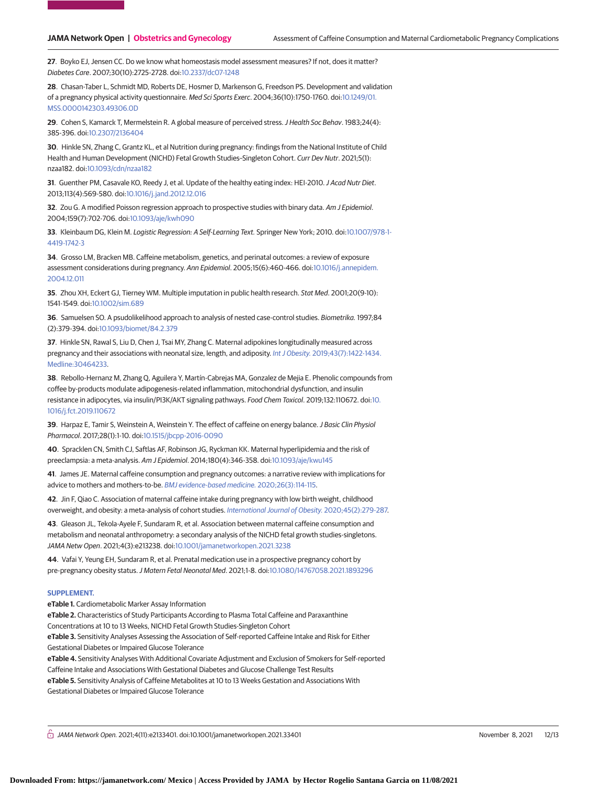**27**. Boyko EJ, Jensen CC. Do we know what homeostasis model assessment measures? If not, does it matter? Diabetes Care. 2007;30(10):2725-2728. doi[:10.2337/dc07-1248](https://dx.doi.org/10.2337/dc07-1248)

**28**. Chasan-Taber L, Schmidt MD, Roberts DE, Hosmer D, Markenson G, Freedson PS. Development and validation of a pregnancy physical activity questionnaire. Med Sci Sports Exerc. 2004;36(10):1750-1760. doi[:10.1249/01.](https://dx.doi.org/10.1249/01.MSS.0000142303.49306.0D) [MSS.0000142303.49306.0D](https://dx.doi.org/10.1249/01.MSS.0000142303.49306.0D)

**29**. Cohen S, Kamarck T, Mermelstein R. A global measure of perceived stress.J Health Soc Behav. 1983;24(4): 385-396. doi[:10.2307/2136404](https://dx.doi.org/10.2307/2136404)

**30**. Hinkle SN, Zhang C, Grantz KL, et al Nutrition during pregnancy: findings from the National Institute of Child Health and Human Development (NICHD) Fetal Growth Studies–Singleton Cohort. Curr Dev Nutr. 2021;5(1): nzaa182. doi[:10.1093/cdn/nzaa182](https://dx.doi.org/10.1093/cdn/nzaa182)

**31**. Guenther PM, Casavale KO, Reedy J, et al. Update of the healthy eating index: HEI-2010.J Acad Nutr Diet. 2013;113(4):569-580. doi[:10.1016/j.jand.2012.12.016](https://dx.doi.org/10.1016/j.jand.2012.12.016)

**32**. Zou G. A modified Poisson regression approach to prospective studies with binary data. Am J Epidemiol. 2004;159(7):702-706. doi[:10.1093/aje/kwh090](https://dx.doi.org/10.1093/aje/kwh090)

**33**. Kleinbaum DG, Klein M. Logistic Regression: A Self-Learning Text. Springer New York; 2010. doi[:10.1007/978-1-](https://dx.doi.org/10.1007/978-1-4419-1742-3) [4419-1742-3](https://dx.doi.org/10.1007/978-1-4419-1742-3)

**34**. Grosso LM, Bracken MB. Caffeine metabolism, genetics, and perinatal outcomes: a review of exposure assessment considerations during pregnancy. Ann Epidemiol. 2005;15(6):460-466. doi[:10.1016/j.annepidem.](https://dx.doi.org/10.1016/j.annepidem.2004.12.011) [2004.12.011](https://dx.doi.org/10.1016/j.annepidem.2004.12.011)

**35**. Zhou XH, Eckert GJ, Tierney WM. Multiple imputation in public health research. Stat Med. 2001;20(9-10): 1541-1549. doi[:10.1002/sim.689](https://dx.doi.org/10.1002/sim.689)

**36**. Samuelsen SO. A psudolikelihood approach to analysis of nested case-control studies. Biometrika. 1997;84 (2):379-394. doi[:10.1093/biomet/84.2.379](https://dx.doi.org/10.1093/biomet/84.2.379)

**37**. Hinkle SN, Rawal S, Liu D, Chen J, Tsai MY, Zhang C. Maternal adipokines longitudinally measured across pregnancy and their associations with neonatal size, length, and adiposity. Int J Obesity. [2019;43\(7\):1422-1434](https://www.ncbi.nlm.nih.gov/pubmed/30464233)[.](https://www.ncbi.nlm.nih.gov/entrez/query.fcgi?cmd=Retrieve&db=PubMed&list_uids=30464233&dopt=Abstract) [Medline:30464233.](https://www.ncbi.nlm.nih.gov/entrez/query.fcgi?cmd=Retrieve&db=PubMed&list_uids=30464233&dopt=Abstract)

**38**. Rebollo-Hernanz M, Zhang Q, Aguilera Y, Martín-Cabrejas MA, Gonzalez de Mejia E. Phenolic compounds from coffee by-products modulate adipogenesis-related inflammation, mitochondrial dysfunction, and insulin resistance in adipocytes, via insulin/PI3K/AKT signaling pathways. Food Chem Toxicol. 2019;132:110672. doi[:10.](https://dx.doi.org/10.1016/j.fct.2019.110672) [1016/j.fct.2019.110672](https://dx.doi.org/10.1016/j.fct.2019.110672)

**39**. Harpaz E, Tamir S, Weinstein A, Weinstein Y. The effect of caffeine on energy balance.J Basic Clin Physiol Pharmacol. 2017;28(1):1-10. doi[:10.1515/jbcpp-2016-0090](https://dx.doi.org/10.1515/jbcpp-2016-0090)

**40**. Spracklen CN, Smith CJ, Saftlas AF, Robinson JG, Ryckman KK. Maternal hyperlipidemia and the risk of preeclampsia: a meta-analysis. Am J Epidemiol. 2014;180(4):346-358. doi[:10.1093/aje/kwu145](https://dx.doi.org/10.1093/aje/kwu145)

**41**. James JE. Maternal caffeine consumption and pregnancy outcomes: a narrative review with implications for advice to mothers and mothers-to-be. [BMJ evidence-based medicine.](https://www.ncbi.nlm.nih.gov/pubmed/32843532) 2020;26(3):114-115.

**42**. Jin F, Qiao C. Association of maternal caffeine intake during pregnancy with low birth weight, childhood overweight, and obesity: a meta-analysis of cohort studies. [International Journal of Obesity.](https://www.ncbi.nlm.nih.gov/pubmed/32518355) 2020;45(2):279-287.

**43**. Gleason JL, Tekola-Ayele F, Sundaram R, et al. Association between maternal caffeine consumption and metabolism and neonatal anthropometry: a secondary analysis of the NICHD fetal growth studies-singletons. JAMA Netw Open. 2021;4(3):e213238. doi[:10.1001/jamanetworkopen.2021.3238](https://jama.jamanetwork.com/article.aspx?doi=10.1001/jamanetworkopen.2021.3238&utm_campaign=articlePDF%26utm_medium=articlePDFlink%26utm_source=articlePDF%26utm_content=jamanetworkopen.2021.33401)

**44**. Vafai Y, Yeung EH, Sundaram R, et al. Prenatal medication use in a prospective pregnancy cohort by pre-pregnancy obesity status. J Matern Fetal Neonatal Med. 2021;1-8. doi[:10.1080/14767058.2021.1893296](https://dx.doi.org/10.1080/14767058.2021.1893296)

### **SUPPLEMENT.**

**eTable 1.** Cardiometabolic Marker Assay Information

**eTable 2.** Characteristics of Study Participants According to Plasma Total Caffeine and Paraxanthine

Concentrations at 10 to 13 Weeks, NICHD Fetal Growth Studies-Singleton Cohort

**eTable 3.** Sensitivity Analyses Assessing the Association of Self-reported Caffeine Intake and Risk for Either Gestational Diabetes or Impaired Glucose Tolerance

**eTable 4.** Sensitivity Analyses With Additional Covariate Adjustment and Exclusion of Smokers for Self-reported Caffeine Intake and Associations With Gestational Diabetes and Glucose Challenge Test Results

**eTable 5.** Sensitivity Analysis of Caffeine Metabolites at 10 to 13 Weeks Gestation and Associations With

Gestational Diabetes or Impaired Glucose Tolerance

 $\stackrel{\frown}{\Box}$  JAMA Network Open. 2021;4(11):e2133401. doi:10.1001/jamanetworkopen.2021.33401 Movember 8, 2021 12/13